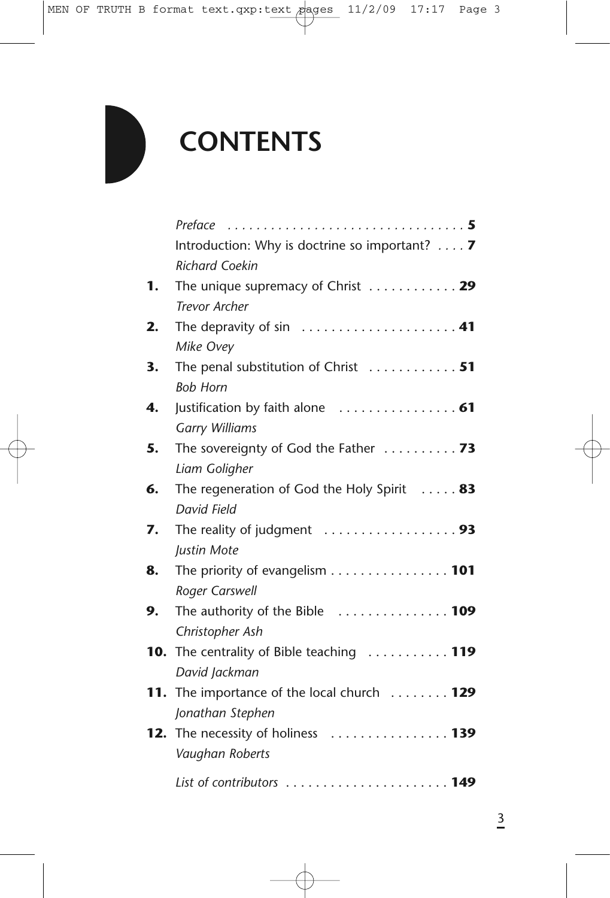## **CONTENTS**

|     | Preface                                        |
|-----|------------------------------------------------|
|     | Introduction: Why is doctrine so important?  7 |
|     | <b>Richard Coekin</b>                          |
| 1.  | The unique supremacy of Christ  29             |
|     | <b>Trevor Archer</b>                           |
| 2.  | The depravity of sin  41                       |
|     | Mike Ovey                                      |
| 3.  | The penal substitution of Christ  51           |
|     | <b>Bob Horn</b>                                |
| 4.  | Justification by faith alone  61               |
|     | <b>Garry Williams</b>                          |
| 5.  | The sovereignty of God the Father  73          |
|     | Liam Goligher                                  |
| 6.  | The regeneration of God the Holy Spirit  83    |
|     | David Field                                    |
| 7.  |                                                |
|     | Justin Mote                                    |
| 8.  | The priority of evangelism 101                 |
|     | Roger Carswell                                 |
| 9.  | The authority of the Bible  109                |
|     | Christopher Ash                                |
| 10. | The centrality of Bible teaching  119          |
|     | David Jackman                                  |
|     | 11. The importance of the local church  129    |
|     | Jonathan Stephen                               |
|     | 12. The necessity of holiness  139             |
|     | Vaughan Roberts                                |
|     | List of contributors  149                      |
|     |                                                |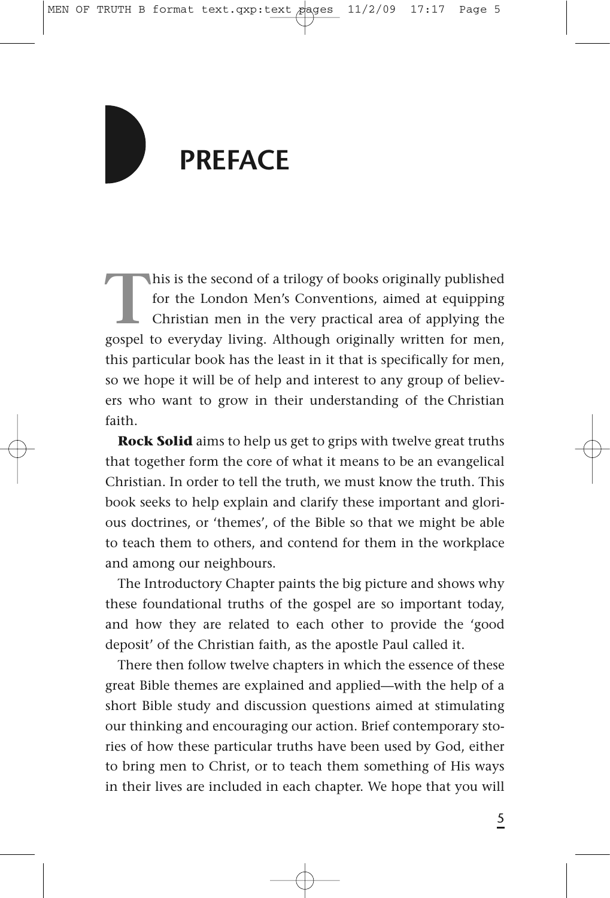# **PREFACE**

This is the second of a trilogy of books originally published<br>for the London Men's Conventions, aimed at equipping<br>Christian men in the very practical area of applying the<br>grand to averyday living. Although existingly writ for the London Men's Conventions, aimed at equipping Christian men in the very practical area of applying the gospel to everyday living. Although originally written for men, this particular book has the least in it that is specifically for men, so we hope it will be of help and interest to any group of believers who want to grow in their understanding of the Christian faith.

**Rock Solid** aims to help us get to grips with twelve great truths that together form the core of what it means to be an evangelical Christian. In order to tell the truth, we must know the truth. This book seeks to help explain and clarify these important and glorious doctrines, or 'themes', of the Bible so that we might be able to teach them to others, and contend for them in the workplace and among our neighbours.

The Introductory Chapter paints the big picture and shows why these foundational truths of the gospel are so important today, and how they are related to each other to provide the 'good deposit' of the Christian faith, as the apostle Paul called it.

There then follow twelve chapters in which the essence of these great Bible themes are explained and applied—with the help of a short Bible study and discussion questions aimed at stimulating our thinking and encouraging our action. Brief contemporary stories of how these particular truths have been used by God, either to bring men to Christ, or to teach them something of His ways in their lives are included in each chapter. We hope that you will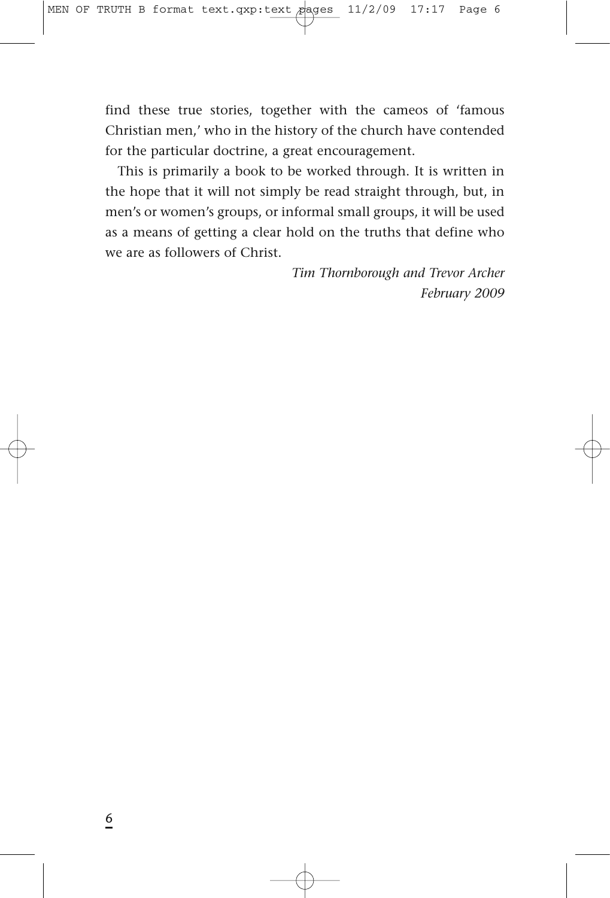find these true stories, together with the cameos of 'famous Christian men,' who in the history of the church have contended for the particular doctrine, a great encouragement.

This is primarily a book to be worked through. It is written in the hope that it will not simply be read straight through, but, in men's or women's groups, or informal small groups, it will be used as a means of getting a clear hold on the truths that define who we are as followers of Christ.

> *Tim Thornborough and Trevor Archer February 2009*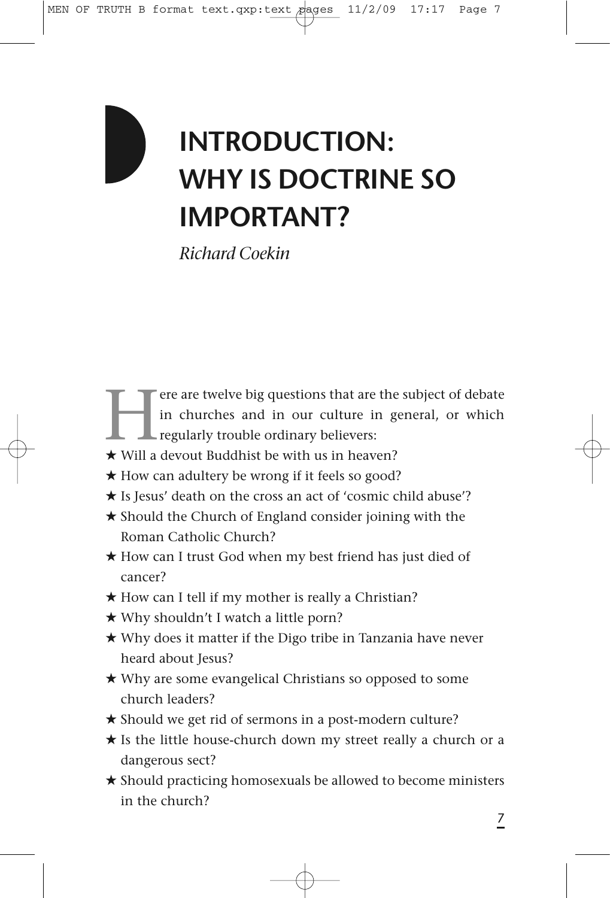## **INTRODUCTION: WHY IS DOCTRINE SO IMPORTANT?**

*Richard Coekin*

- The are twelve big questions that are the subject of debate<br>in churches and in our culture in general, or which<br>regularly trouble ordinary believers: in churches and in our culture in general, or which regularly trouble ordinary believers:
- ★ Will a devout Buddhist be with us in heaven?
- ★ How can adultery be wrong if it feels so good?
- ★ Is Jesus' death on the cross an act of 'cosmic child abuse'?
- ★ Should the Church of England consider joining with the Roman Catholic Church?
- ★ How can I trust God when my best friend has just died of cancer?
- ★ How can I tell if my mother is really a Christian?
- ★ Why shouldn't I watch a little porn?
- ★ Why does it matter if the Digo tribe in Tanzania have never heard about Jesus?
- ★ Why are some evangelical Christians so opposed to some church leaders?
- ★ Should we get rid of sermons in a post-modern culture?
- ★ Is the little house-church down my street really a church or a dangerous sect?
- ★ Should practicing homosexuals be allowed to become ministers in the church?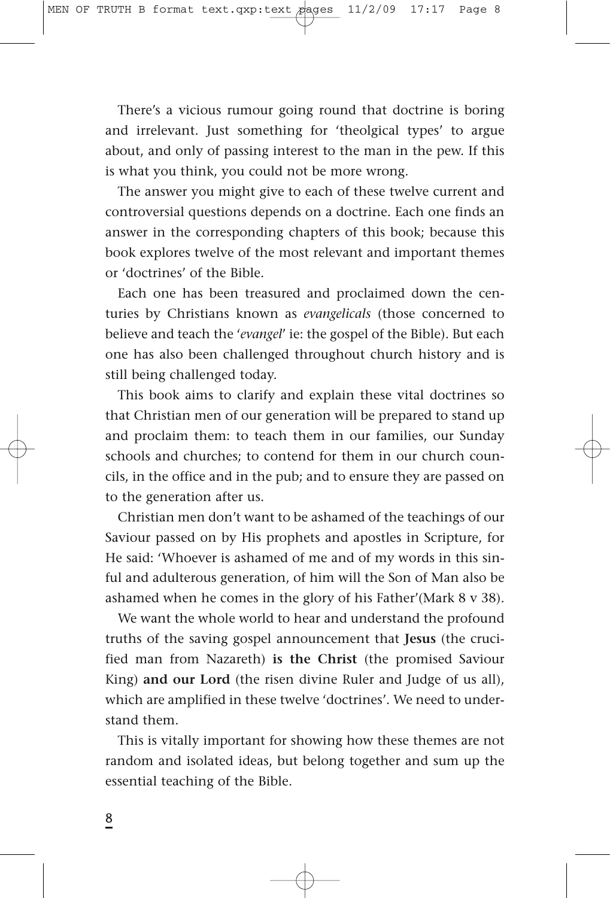There's a vicious rumour going round that doctrine is boring and irrelevant. Just something for 'theolgical types' to argue about, and only of passing interest to the man in the pew. If this is what you think, you could not be more wrong.

The answer you might give to each of these twelve current and controversial questions depends on a doctrine. Each one finds an answer in the corresponding chapters of this book; because this book explores twelve of the most relevant and important themes or 'doctrines' of the Bible.

Each one has been treasured and proclaimed down the centuries by Christians known as *evangelicals* (those concerned to believe and teach the '*evangel*' ie: the gospel of the Bible). But each one has also been challenged throughout church history and is still being challenged today.

This book aims to clarify and explain these vital doctrines so that Christian men of our generation will be prepared to stand up and proclaim them: to teach them in our families, our Sunday schools and churches; to contend for them in our church councils, in the office and in the pub; and to ensure they are passed on to the generation after us.

Christian men don't want to be ashamed of the teachings of our Saviour passed on by His prophets and apostles in Scripture, for He said: 'Whoever is ashamed of me and of my words in this sinful and adulterous generation, of him will the Son of Man also be ashamed when he comes in the glory of his Father'(Mark 8 v 38).

We want the whole world to hear and understand the profound truths of the saving gospel announcement that **Jesus** (the crucified man from Nazareth) **is the Christ** (the promised Saviour King) **and our Lord** (the risen divine Ruler and Judge of us all), which are amplified in these twelve 'doctrines'. We need to understand them.

This is vitally important for showing how these themes are not random and isolated ideas, but belong together and sum up the essential teaching of the Bible.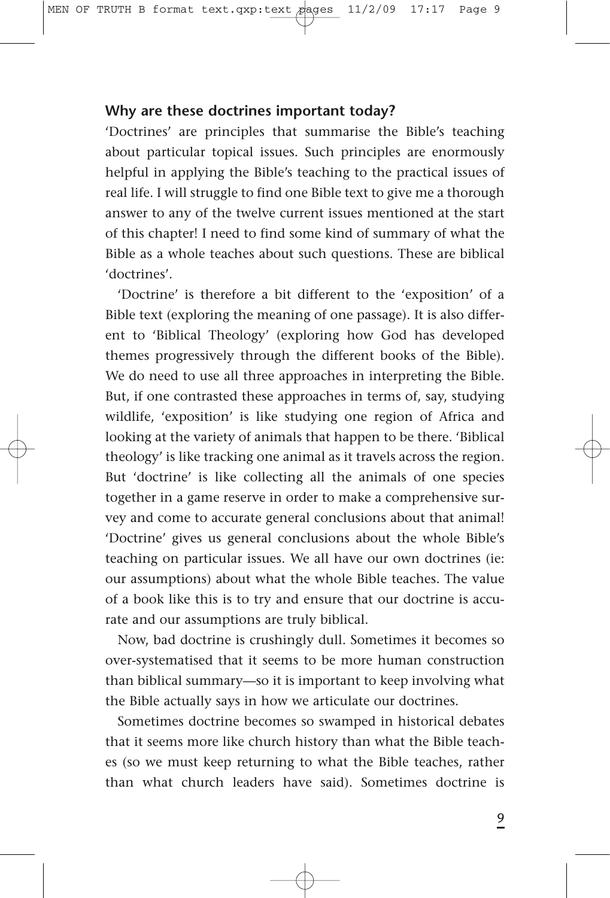### **Why are these doctrines important today?**

'Doctrines' are principles that summarise the Bible's teaching about particular topical issues. Such principles are enormously helpful in applying the Bible's teaching to the practical issues of real life. I will struggle to find one Bible text to give me a thorough answer to any of the twelve current issues mentioned at the start of this chapter! I need to find some kind of summary of what the Bible as a whole teaches about such questions. These are biblical 'doctrines'.

'Doctrine' is therefore a bit different to the 'exposition' of a Bible text (exploring the meaning of one passage). It is also different to 'Biblical Theology' (exploring how God has developed themes progressively through the different books of the Bible). We do need to use all three approaches in interpreting the Bible. But, if one contrasted these approaches in terms of, say, studying wildlife, 'exposition' is like studying one region of Africa and looking at the variety of animals that happen to be there. 'Biblical theology' is like tracking one animal as it travels across the region. But 'doctrine' is like collecting all the animals of one species together in a game reserve in order to make a comprehensive survey and come to accurate general conclusions about that animal! 'Doctrine' gives us general conclusions about the whole Bible's teaching on particular issues. We all have our own doctrines (ie: our assumptions) about what the whole Bible teaches. The value of a book like this is to try and ensure that our doctrine is accurate and our assumptions are truly biblical.

Now, bad doctrine is crushingly dull. Sometimes it becomes so over-systematised that it seems to be more human construction than biblical summary—so it is important to keep involving what the Bible actually says in how we articulate our doctrines.

Sometimes doctrine becomes so swamped in historical debates that it seems more like church history than what the Bible teaches (so we must keep returning to what the Bible teaches, rather than what church leaders have said). Sometimes doctrine is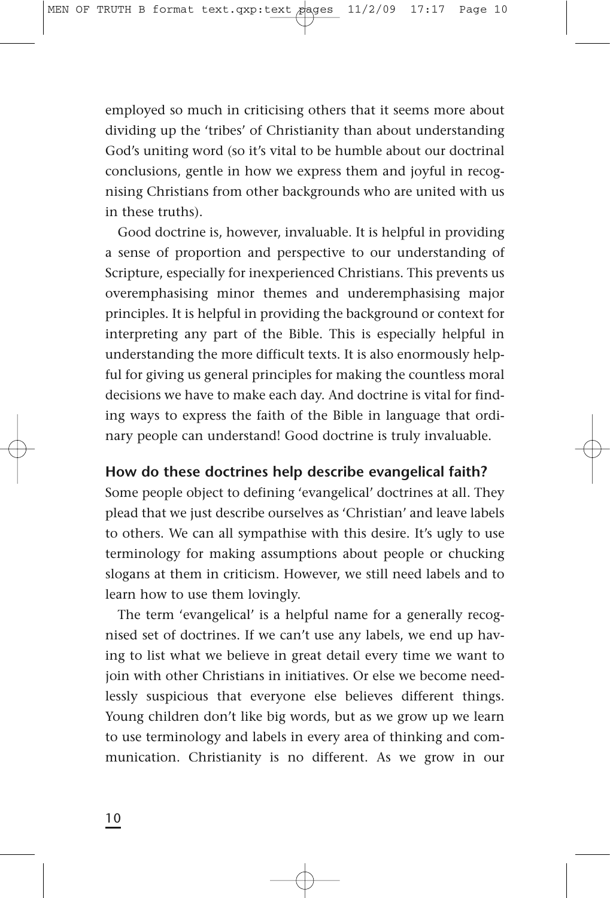employed so much in criticising others that it seems more about dividing up the 'tribes' of Christianity than about understanding God's uniting word (so it's vital to be humble about our doctrinal conclusions, gentle in how we express them and joyful in recognising Christians from other backgrounds who are united with us in these truths).

Good doctrine is, however, invaluable. It is helpful in providing a sense of proportion and perspective to our understanding of Scripture, especially for inexperienced Christians. This prevents us overemphasising minor themes and underemphasising major principles. It is helpful in providing the background or context for interpreting any part of the Bible. This is especially helpful in understanding the more difficult texts. It is also enormously helpful for giving us general principles for making the countless moral decisions we have to make each day. And doctrine is vital for finding ways to express the faith of the Bible in language that ordinary people can understand! Good doctrine is truly invaluable.

#### **How do these doctrines help describe evangelical faith?**

Some people object to defining 'evangelical' doctrines at all. They plead that we just describe ourselves as 'Christian' and leave labels to others. We can all sympathise with this desire. It's ugly to use terminology for making assumptions about people or chucking slogans at them in criticism. However, we still need labels and to learn how to use them lovingly.

The term 'evangelical' is a helpful name for a generally recognised set of doctrines. If we can't use any labels, we end up having to list what we believe in great detail every time we want to join with other Christians in initiatives. Or else we become needlessly suspicious that everyone else believes different things. Young children don't like big words, but as we grow up we learn to use terminology and labels in every area of thinking and communication. Christianity is no different. As we grow in our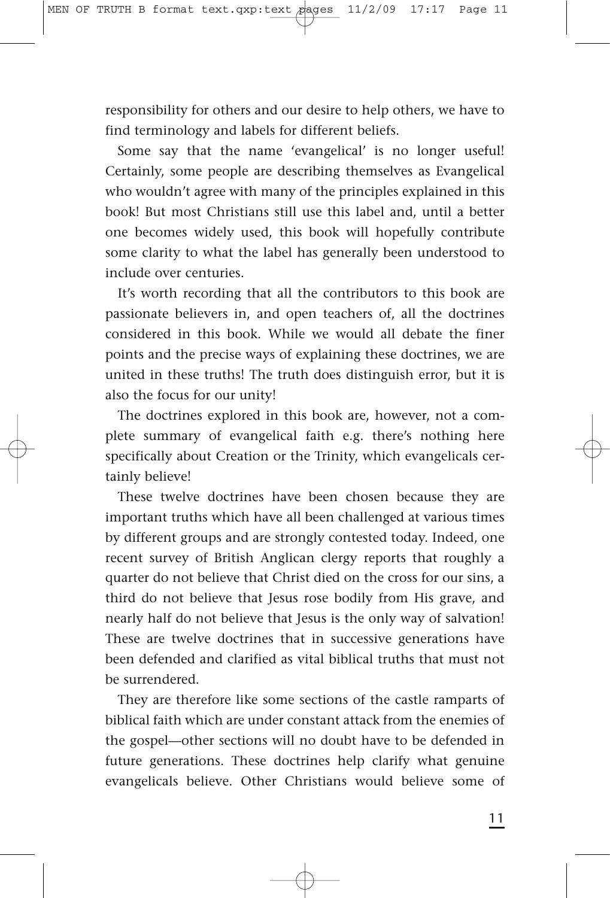responsibility for others and our desire to help others, we have to find terminology and labels for different beliefs.

Some say that the name 'evangelical' is no longer useful! Certainly, some people are describing themselves as Evangelical who wouldn't agree with many of the principles explained in this book! But most Christians still use this label and, until a better one becomes widely used, this book will hopefully contribute some clarity to what the label has generally been understood to include over centuries.

It's worth recording that all the contributors to this book are passionate believers in, and open teachers of, all the doctrines considered in this book. While we would all debate the finer points and the precise ways of explaining these doctrines, we are united in these truths! The truth does distinguish error, but it is also the focus for our unity!

The doctrines explored in this book are, however, not a complete summary of evangelical faith e.g. there's nothing here specifically about Creation or the Trinity, which evangelicals certainly believe!

These twelve doctrines have been chosen because they are important truths which have all been challenged at various times by different groups and are strongly contested today. Indeed, one recent survey of British Anglican clergy reports that roughly a quarter do not believe that Christ died on the cross for our sins, a third do not believe that Jesus rose bodily from His grave, and nearly half do not believe that Jesus is the only way of salvation! These are twelve doctrines that in successive generations have been defended and clarified as vital biblical truths that must not be surrendered.

They are therefore like some sections of the castle ramparts of biblical faith which are under constant attack from the enemies of the gospel—other sections will no doubt have to be defended in future generations. These doctrines help clarify what genuine evangelicals believe. Other Christians would believe some of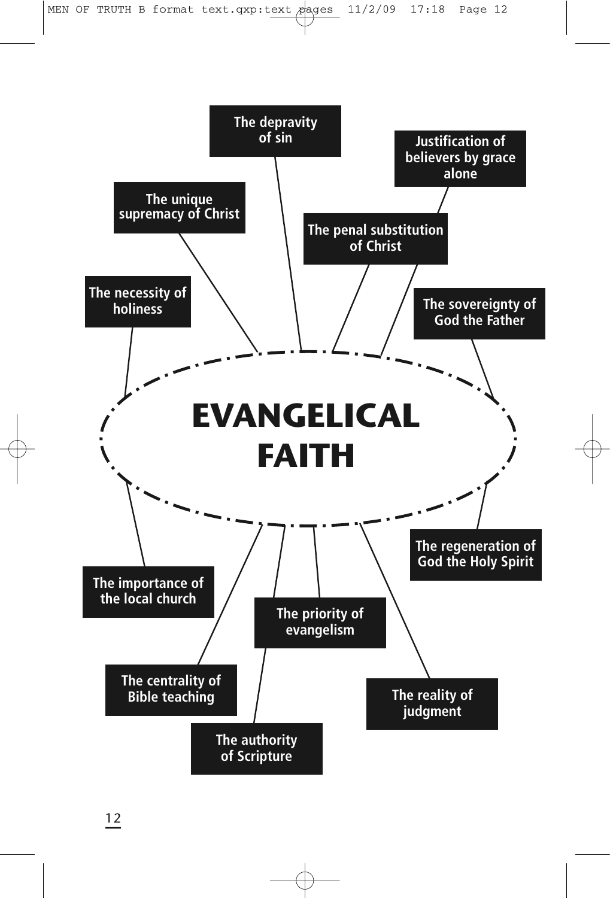